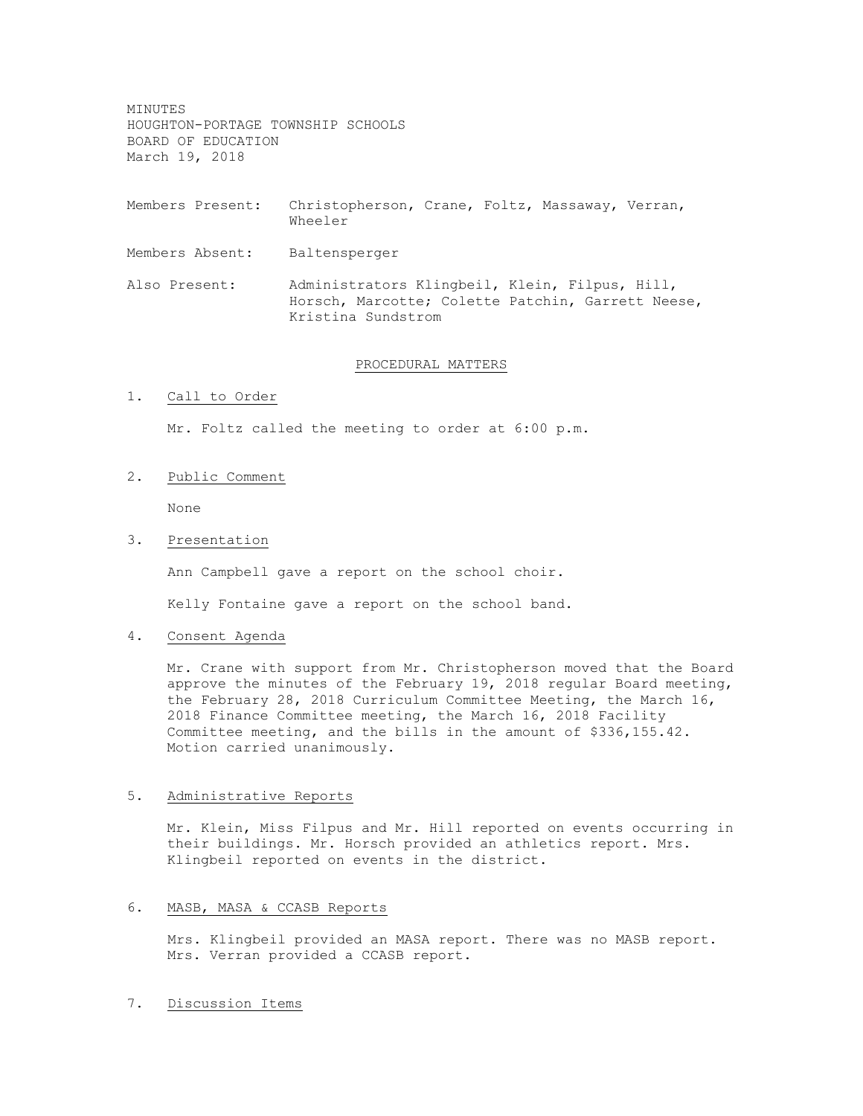MINUTES HOUGHTON-PORTAGE TOWNSHIP SCHOOLS BOARD OF EDUCATION March 19, 2018

- Members Present: Christopherson, Crane, Foltz, Massaway, Verran, Wheeler
- Members Absent: Baltensperger
- Also Present: Administrators Klingbeil, Klein, Filpus, Hill, Horsch, Marcotte; Colette Patchin, Garrett Neese, Kristina Sundstrom

#### PROCEDURAL MATTERS

1. Call to Order

Mr. Foltz called the meeting to order at 6:00 p.m.

#### 2. Public Comment

None

# 3. Presentation

Ann Campbell gave a report on the school choir.

Kelly Fontaine gave a report on the school band.

## 4. Consent Agenda

Mr. Crane with support from Mr. Christopherson moved that the Board approve the minutes of the February 19, 2018 regular Board meeting, the February 28, 2018 Curriculum Committee Meeting, the March 16, 2018 Finance Committee meeting, the March 16, 2018 Facility Committee meeting, and the bills in the amount of \$336,155.42. Motion carried unanimously.

#### 5. Administrative Reports

Mr. Klein, Miss Filpus and Mr. Hill reported on events occurring in their buildings. Mr. Horsch provided an athletics report. Mrs. Klingbeil reported on events in the district.

### 6. MASB, MASA & CCASB Reports

Mrs. Klingbeil provided an MASA report. There was no MASB report. Mrs. Verran provided a CCASB report.

# 7. Discussion Items